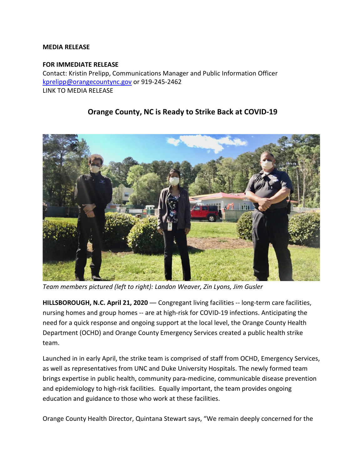## **MEDIA RELEASE**

## **FOR IMMEDIATE RELEASE**

Contact: Kristin Prelipp, Communications Manager and Public Information Officer [kprelipp@orangecountync.gov](mailto:kprelipp@orangecountync.gov) or 919-245-2462 LINK TO MEDIA RELEASE

## **Orange County, NC is Ready to Strike Back at COVID-19**



*Team members pictured (left to right): Landon Weaver, Zin Lyons, Jim Gusler*

**HILLSBOROUGH, N.C. April 21, 2020 ―** Congregant living facilities -- long-term care facilities, nursing homes and group homes -- are at high-risk for COVID-19 infections. Anticipating the need for a quick response and ongoing support at the local level, the Orange County Health Department (OCHD) and Orange County Emergency Services created a public health strike team.

Launched in in early April, the strike team is comprised of staff from OCHD, Emergency Services, as well as representatives from UNC and Duke University Hospitals. The newly formed team brings expertise in public health, community para-medicine, communicable disease prevention and epidemiology to high-risk facilities. Equally important, the team provides ongoing education and guidance to those who work at these facilities.

Orange County Health Director, Quintana Stewart says, "We remain deeply concerned for the